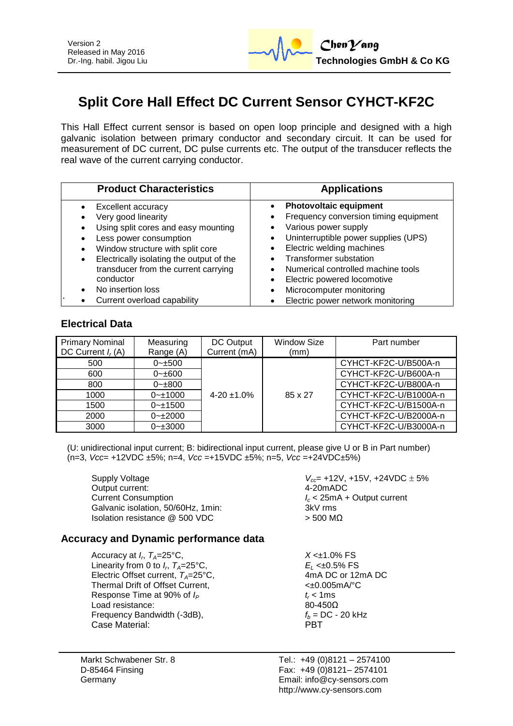

# **Split Core Hall Effect DC Current Sensor CYHCT-KF2C**

This Hall Effect current sensor is based on open loop principle and designed with a high galvanic isolation between primary conductor and secondary circuit. It can be used for measurement of DC current, DC pulse currents etc. The output of the transducer reflects the real wave of the current carrying conductor.

| <b>Product Characteristics</b>           | <b>Applications</b>                   |
|------------------------------------------|---------------------------------------|
| Excellent accuracy                       | <b>Photovoltaic equipment</b>         |
| Very good linearity                      | Frequency conversion timing equipment |
| Using split cores and easy mounting      | Various power supply                  |
| Less power consumption                   | Uninterruptible power supplies (UPS)  |
| Window structure with split core         | Electric welding machines             |
| Electrically isolating the output of the | <b>Transformer substation</b>         |
| transducer from the current carrying     | Numerical controlled machine tools    |
| conductor                                | Electric powered locomotive           |
| No insertion loss                        | Microcomputer monitoring              |
| Current overload capability              | Electric power network monitoring     |

# **Electrical Data**

| <b>Primary Nominal</b><br>DC Current $I_r(A)$ | Measuring<br>Range (A) | DC Output<br>Current (mA) | <b>Window Size</b><br>(mm) | Part number           |
|-----------------------------------------------|------------------------|---------------------------|----------------------------|-----------------------|
| 500                                           | $0 - \pm 500$          |                           |                            | CYHCT-KF2C-U/B500A-n  |
| 600                                           | $0 - \pm 600$          |                           |                            | CYHCT-KF2C-U/B600A-n  |
| 800                                           | $0 - \pm 800$          |                           |                            | CYHCT-KF2C-U/B800A-n  |
| 1000                                          | $0 - 1000$             | $4 - 20 + 1.0%$           | 85 x 27                    | CYHCT-KF2C-U/B1000A-n |
| 1500                                          | $0 - 1500$             |                           |                            | CYHCT-KF2C-U/B1500A-n |
| 2000                                          | $0 - 2000$             |                           |                            | CYHCT-KF2C-U/B2000A-n |
| 3000                                          | $0 - \pm 3000$         |                           |                            | CYHCT-KF2C-U/B3000A-n |

(U: unidirectional input current; B: bidirectional input current, please give U or B in Part number) (n=3, *Vcc*= +12VDC ±5%; n=4, *Vcc* =+15VDC ±5%; n=5, *Vcc* =+24VDC±5%)

Supply Voltage *V*<sub>cc</sub> = +12V, +15V, +24VDC ± 5% Output current: 4-20mADC Current Consumption *I<sup>c</sup>* < 25mA + Output current Galvanic isolation, 50/60Hz, 1min; Isolation resistance  $@$  500 VDC  $>$  500 MΩ

#### **Accuracy and Dynamic performance data**

Accuracy at  $I_r$ ,  $T_A = 25$ °C, Linearity from 0 to  $I_r$ ,  $T_A = 25^\circ \text{C}$ , Electric Offset current,  $T_A = 25^{\circ}$ C, 4mA DC or 12mA DC or 12mA DC or 12mA DC or 12mA PC Details and the Current. Thermal Drift of Offset Current, Response Time at 90% of  $I_P$  *t<sub>r</sub>* < 1ms Load resistance: 80-450Ω Frequency Bandwidth  $(-3dB)$ ,  $f_b = DC - 20 kHz$ Case Material: PBT

Markt Schwabener Str. 8 D-85464 Finsing Germany

 $X < \pm 1.0\%$  FS *E*<sub>L</sub> <±0.5% FS<br>4mA DC or 12mA DC

Tel.: +49 (0)8121 – 2574100 Fax: +49 (0)8121– 2574101 Email: info@cy-sensors.com http://www.cy-sensors.com